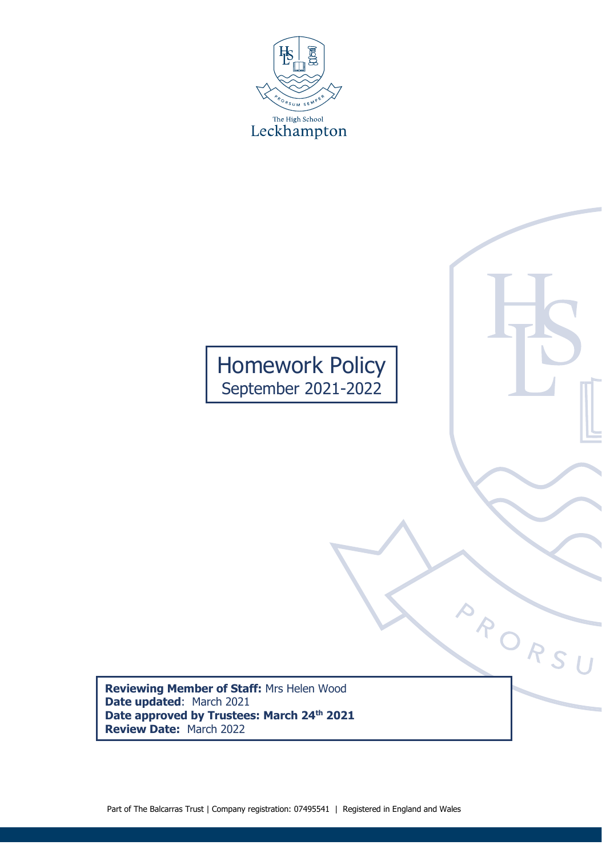

Homework Policy September 2021-2022

**Reviewing Member of Staff:** Mrs Helen Wood **Date updated**: March 2021 **Date approved by Trustees: March 24th 2021 Review Date:** March 2022

APORSU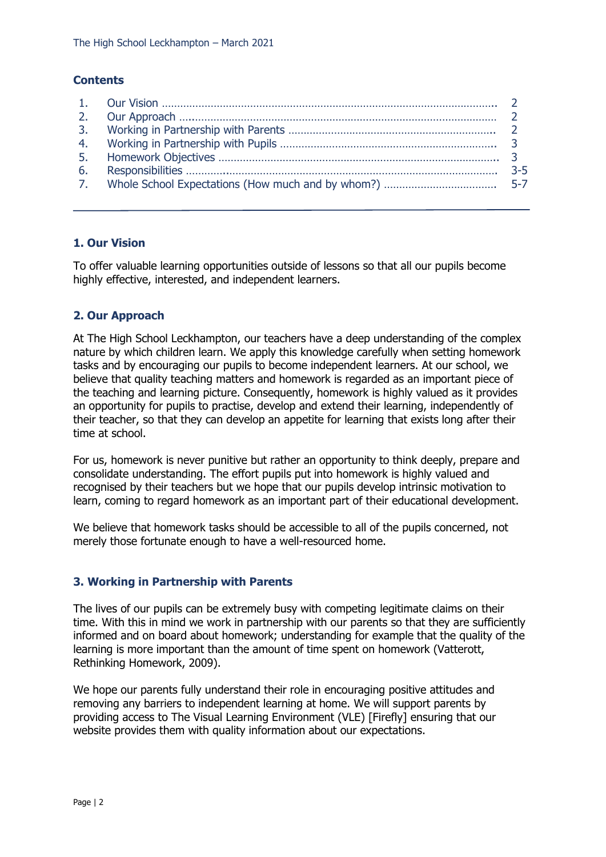# **Contents**

## **1. Our Vision**

To offer valuable learning opportunities outside of lessons so that all our pupils become highly effective, interested, and independent learners.

## **2. Our Approach**

At The High School Leckhampton, our teachers have a deep understanding of the complex nature by which children learn. We apply this knowledge carefully when setting homework tasks and by encouraging our pupils to become independent learners. At our school, we believe that quality teaching matters and homework is regarded as an important piece of the teaching and learning picture. Consequently, homework is highly valued as it provides an opportunity for pupils to practise, develop and extend their learning, independently of their teacher, so that they can develop an appetite for learning that exists long after their time at school.

For us, homework is never punitive but rather an opportunity to think deeply, prepare and consolidate understanding. The effort pupils put into homework is highly valued and recognised by their teachers but we hope that our pupils develop intrinsic motivation to learn, coming to regard homework as an important part of their educational development.

We believe that homework tasks should be accessible to all of the pupils concerned, not merely those fortunate enough to have a well-resourced home.

### **3. Working in Partnership with Parents**

The lives of our pupils can be extremely busy with competing legitimate claims on their time. With this in mind we work in partnership with our parents so that they are sufficiently informed and on board about homework; understanding for example that the quality of the learning is more important than the amount of time spent on homework (Vatterott, Rethinking Homework, 2009).

We hope our parents fully understand their role in encouraging positive attitudes and removing any barriers to independent learning at home. We will support parents by providing access to The Visual Learning Environment (VLE) [Firefly] ensuring that our website provides them with quality information about our expectations.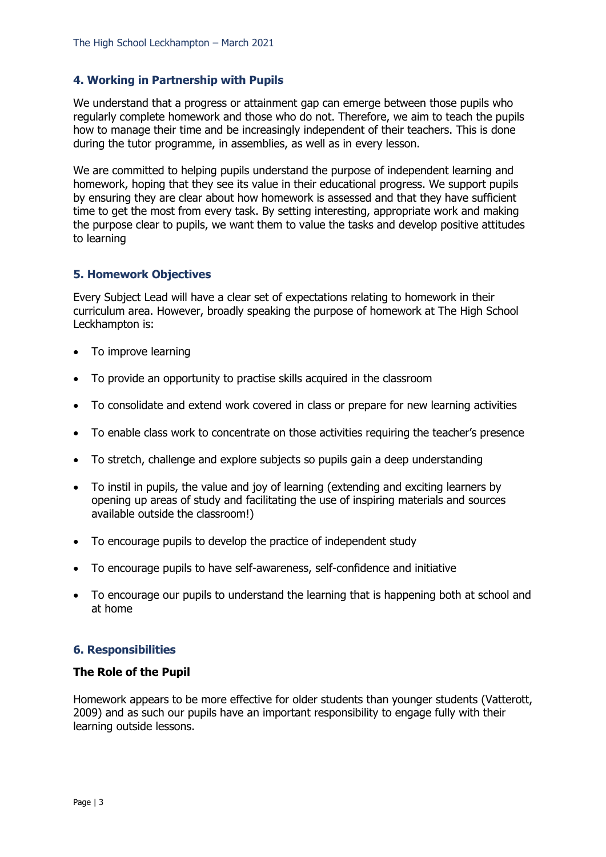# **4. Working in Partnership with Pupils**

We understand that a progress or attainment gap can emerge between those pupils who regularly complete homework and those who do not. Therefore, we aim to teach the pupils how to manage their time and be increasingly independent of their teachers. This is done during the tutor programme, in assemblies, as well as in every lesson.

We are committed to helping pupils understand the purpose of independent learning and homework, hoping that they see its value in their educational progress. We support pupils by ensuring they are clear about how homework is assessed and that they have sufficient time to get the most from every task. By setting interesting, appropriate work and making the purpose clear to pupils, we want them to value the tasks and develop positive attitudes to learning

### **5. Homework Objectives**

Every Subject Lead will have a clear set of expectations relating to homework in their curriculum area. However, broadly speaking the purpose of homework at The High School Leckhampton is:

- To improve learning
- To provide an opportunity to practise skills acquired in the classroom
- To consolidate and extend work covered in class or prepare for new learning activities
- To enable class work to concentrate on those activities requiring the teacher's presence
- To stretch, challenge and explore subjects so pupils gain a deep understanding
- To instil in pupils, the value and joy of learning (extending and exciting learners by opening up areas of study and facilitating the use of inspiring materials and sources available outside the classroom!)
- To encourage pupils to develop the practice of independent study
- To encourage pupils to have self-awareness, self-confidence and initiative
- To encourage our pupils to understand the learning that is happening both at school and at home

### **6. Responsibilities**

#### **The Role of the Pupil**

Homework appears to be more effective for older students than younger students (Vatterott, 2009) and as such our pupils have an important responsibility to engage fully with their learning outside lessons.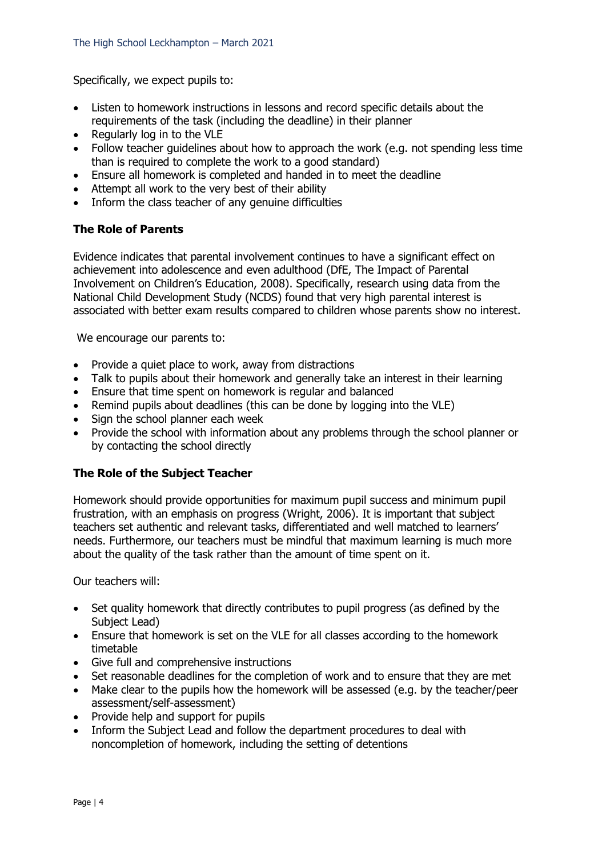Specifically, we expect pupils to:

- Listen to homework instructions in lessons and record specific details about the requirements of the task (including the deadline) in their planner
- Regularly log in to the VLE
- Follow teacher quidelines about how to approach the work (e.g. not spending less time than is required to complete the work to a good standard)
- Ensure all homework is completed and handed in to meet the deadline
- Attempt all work to the very best of their ability
- Inform the class teacher of any genuine difficulties

## **The Role of Parents**

Evidence indicates that parental involvement continues to have a significant effect on achievement into adolescence and even adulthood (DfE, The Impact of Parental Involvement on Children's Education, 2008). Specifically, research using data from the National Child Development Study (NCDS) found that very high parental interest is associated with better exam results compared to children whose parents show no interest.

We encourage our parents to:

- Provide a quiet place to work, away from distractions
- Talk to pupils about their homework and generally take an interest in their learning
- Ensure that time spent on homework is regular and balanced
- Remind pupils about deadlines (this can be done by logging into the VLE)
- Sign the school planner each week
- Provide the school with information about any problems through the school planner or by contacting the school directly

# **The Role of the Subject Teacher**

Homework should provide opportunities for maximum pupil success and minimum pupil frustration, with an emphasis on progress (Wright, 2006). It is important that subject teachers set authentic and relevant tasks, differentiated and well matched to learners' needs. Furthermore, our teachers must be mindful that maximum learning is much more about the quality of the task rather than the amount of time spent on it.

Our teachers will:

- Set quality homework that directly contributes to pupil progress (as defined by the Subject Lead)
- Ensure that homework is set on the VLE for all classes according to the homework timetable
- Give full and comprehensive instructions
- Set reasonable deadlines for the completion of work and to ensure that they are met
- Make clear to the pupils how the homework will be assessed (e.g. by the teacher/peer assessment/self-assessment)
- Provide help and support for pupils
- Inform the Subject Lead and follow the department procedures to deal with noncompletion of homework, including the setting of detentions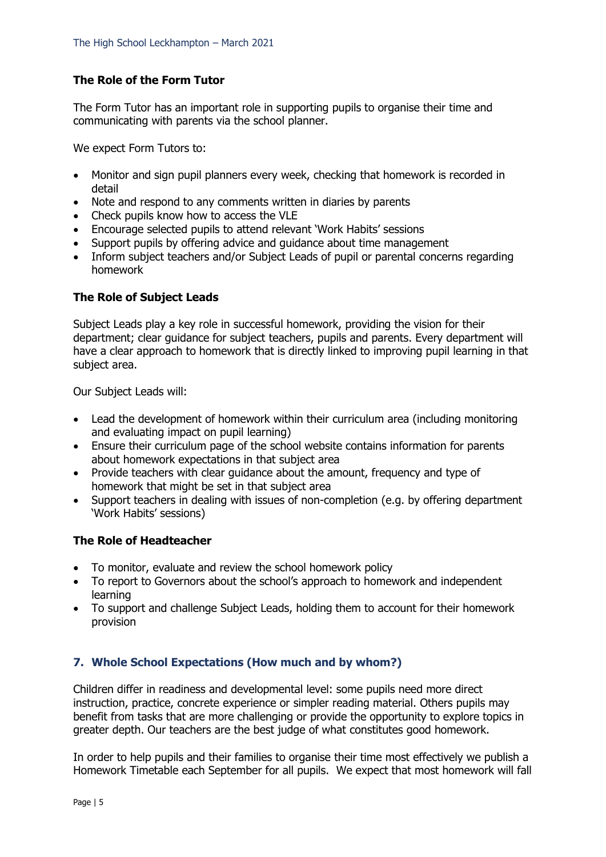# **The Role of the Form Tutor**

The Form Tutor has an important role in supporting pupils to organise their time and communicating with parents via the school planner.

We expect Form Tutors to:

- Monitor and sign pupil planners every week, checking that homework is recorded in detail
- Note and respond to any comments written in diaries by parents
- Check pupils know how to access the VLE
- Encourage selected pupils to attend relevant 'Work Habits' sessions
- Support pupils by offering advice and guidance about time management
- Inform subject teachers and/or Subject Leads of pupil or parental concerns regarding homework

## **The Role of Subject Leads**

Subject Leads play a key role in successful homework, providing the vision for their department; clear guidance for subject teachers, pupils and parents. Every department will have a clear approach to homework that is directly linked to improving pupil learning in that subject area.

Our Subject Leads will:

- Lead the development of homework within their curriculum area (including monitoring and evaluating impact on pupil learning)
- Ensure their curriculum page of the school website contains information for parents about homework expectations in that subject area
- Provide teachers with clear guidance about the amount, frequency and type of homework that might be set in that subject area
- Support teachers in dealing with issues of non-completion (e.g. by offering department 'Work Habits' sessions)

### **The Role of Headteacher**

- To monitor, evaluate and review the school homework policy
- To report to Governors about the school's approach to homework and independent learning
- To support and challenge Subject Leads, holding them to account for their homework provision

# **7. Whole School Expectations (How much and by whom?)**

Children differ in readiness and developmental level: some pupils need more direct instruction, practice, concrete experience or simpler reading material. Others pupils may benefit from tasks that are more challenging or provide the opportunity to explore topics in greater depth. Our teachers are the best judge of what constitutes good homework.

In order to help pupils and their families to organise their time most effectively we publish a Homework Timetable each September for all pupils. We expect that most homework will fall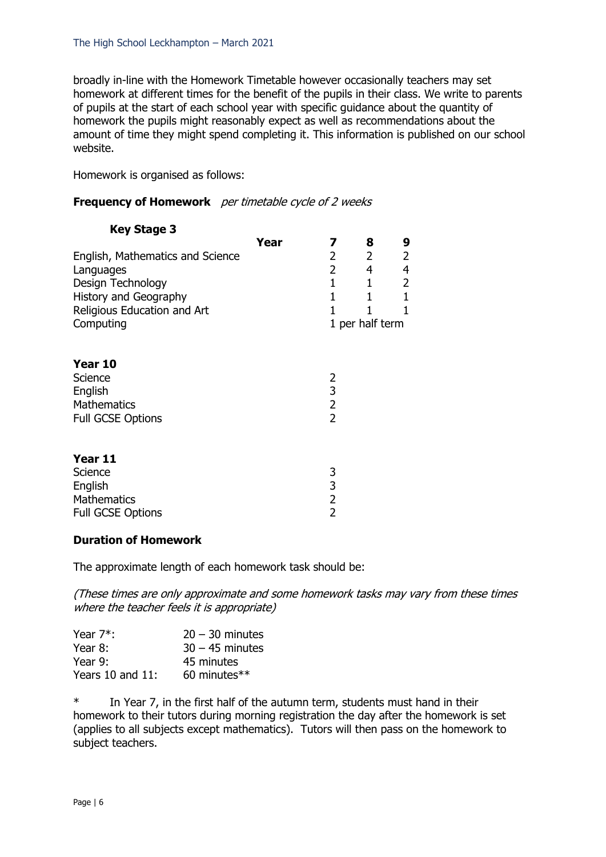broadly in-line with the Homework Timetable however occasionally teachers may set homework at different times for the benefit of the pupils in their class. We write to parents of pupils at the start of each school year with specific guidance about the quantity of homework the pupils might reasonably expect as well as recommendations about the amount of time they might spend completing it. This information is published on our school website.

Homework is organised as follows:

## **Frequency of Homework** *per timetable cycle of 2 weeks*

| <b>Key Stage 3</b>               |      |                |                 |                |
|----------------------------------|------|----------------|-----------------|----------------|
|                                  | Year | 7              | 8               | 9              |
| English, Mathematics and Science |      | $\overline{2}$ | $\overline{2}$  | $\overline{c}$ |
| Languages                        |      | $\overline{2}$ | 4               | $\overline{a}$ |
| Design Technology                |      | $\mathbf{1}$   | 1               | $\overline{2}$ |
| History and Geography            |      | $\mathbf{1}$   | $\mathbf{1}$    | $\mathbf 1$    |
| Religious Education and Art      |      | 1              | 1               | 1              |
| Computing                        |      |                | 1 per half term |                |
|                                  |      |                |                 |                |
| Year 10                          |      |                |                 |                |
| Science                          |      | 2              |                 |                |
| English                          |      | 3              |                 |                |
| <b>Mathematics</b>               |      | $\overline{2}$ |                 |                |
| <b>Full GCSE Options</b>         |      | $\overline{2}$ |                 |                |
|                                  |      |                |                 |                |
| Year 11                          |      |                |                 |                |
| Science                          |      | 3              |                 |                |
| English                          |      | 3              |                 |                |
| <b>Mathematics</b>               |      | $\overline{2}$ |                 |                |
| <b>Full GCSE Options</b>         |      | $\overline{2}$ |                 |                |
|                                  |      |                |                 |                |

### **Duration of Homework**

The approximate length of each homework task should be:

(These times are only approximate and some homework tasks may vary from these times where the teacher feels it is appropriate)

| Year 7 <sup>*</sup> : | $20 - 30$ minutes |
|-----------------------|-------------------|
| Year 8:               | $30 - 45$ minutes |
| Year 9:               | 45 minutes        |
| Years $10$ and $11$ : | 60 minutes**      |

\* In Year 7, in the first half of the autumn term, students must hand in their homework to their tutors during morning registration the day after the homework is set (applies to all subjects except mathematics). Tutors will then pass on the homework to subject teachers.